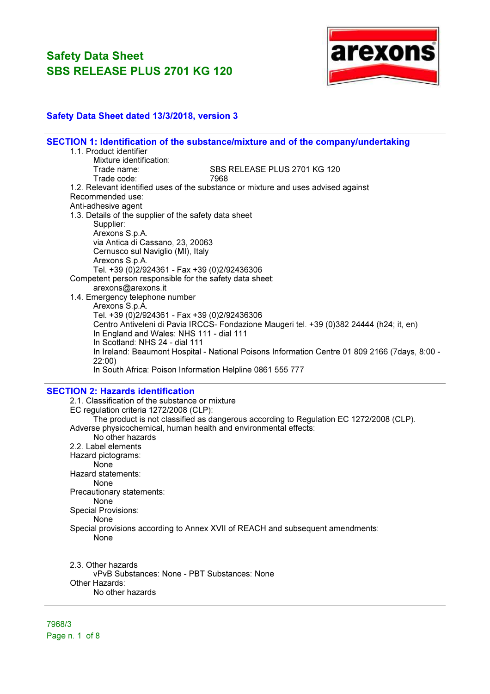

### Safety Data Sheet dated 13/3/2018, version 3

| SECTION 1: Identification of the substance/mixture and of the company/undertaking<br>1.1. Product identifier |
|--------------------------------------------------------------------------------------------------------------|
| Mixture identification:                                                                                      |
| SBS RELEASE PLUS 2701 KG 120<br>Trade name:                                                                  |
| Trade code:<br>7968                                                                                          |
| 1.2. Relevant identified uses of the substance or mixture and uses advised against                           |
| Recommended use:                                                                                             |
| Anti-adhesive agent                                                                                          |
| 1.3. Details of the supplier of the safety data sheet                                                        |
| Supplier:                                                                                                    |
| Arexons S.p.A.                                                                                               |
| via Antica di Cassano, 23, 20063                                                                             |
| Cernusco sul Naviglio (MI), Italy                                                                            |
| Arexons S.p.A.                                                                                               |
| Tel. +39 (0)2/924361 - Fax +39 (0)2/92436306                                                                 |
| Competent person responsible for the safety data sheet:                                                      |
| arexons@arexons.it                                                                                           |
| 1.4. Emergency telephone number                                                                              |
| Arexons S.p.A.                                                                                               |
| Tel. +39 (0)2/924361 - Fax +39 (0)2/92436306                                                                 |
| Centro Antiveleni di Pavia IRCCS- Fondazione Maugeri tel. +39 (0)382 24444 (h24; it, en)                     |
| In England and Wales: NHS 111 - dial 111                                                                     |
| In Scotland: NHS 24 - dial 111                                                                               |
| In Ireland: Beaumont Hospital - National Poisons Information Centre 01 809 2166 (7days, 8:00 -               |
| 22:00)                                                                                                       |
| In South Africa: Poison Information Helpline 0861 555 777                                                    |
| <b>SECTION 2: Hazards identification</b>                                                                     |
| 2.1. Classification of the substance or mixture                                                              |
| EC regulation criteria 1272/2008 (CLP):                                                                      |
| The product is not classified as dangerous according to Regulation EC 1272/2008 (CLP).                       |
| Adverse physicochemical, human health and environmental effects:                                             |
| No other hazards                                                                                             |
| 2.2. Label elements                                                                                          |
| Hazard pictograms:                                                                                           |
| <b>None</b>                                                                                                  |
| Hazard statements:                                                                                           |
| None                                                                                                         |
| Precautionary statements:                                                                                    |
| <b>None</b>                                                                                                  |
| Special Provisions:                                                                                          |
|                                                                                                              |
| None                                                                                                         |
| Special provisions according to Annex XVII of REACH and subsequent amendments:                               |
| None                                                                                                         |
|                                                                                                              |
| 2.3. Other hazards                                                                                           |
| vPvB Substances: None - PBT Substances: None                                                                 |
| Other Hazards:                                                                                               |
| No other hazards                                                                                             |

7968/3 Page n. 1 of 8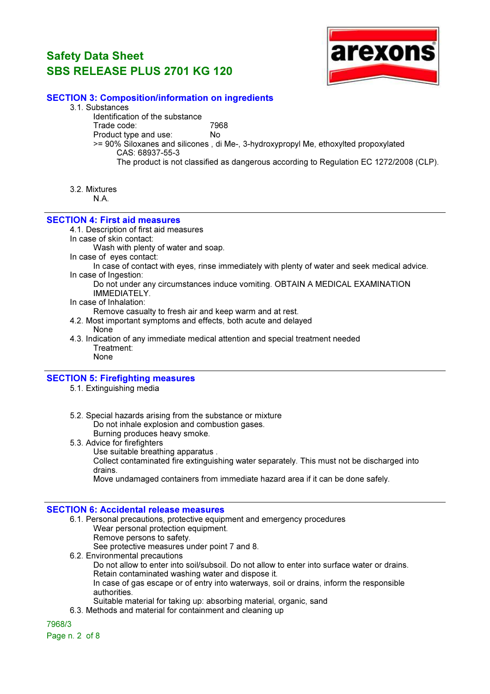

### SECTION 3: Composition/information on ingredients

- 3.1. Substances
	- Identification of the substance

Trade code: 7968

- Product type and use: No
- >= 90% Siloxanes and silicones , di Me-, 3-hydroxypropyl Me, ethoxylted propoxylated CAS: 68937-55-3
	- The product is not classified as dangerous according to Regulation EC 1272/2008 (CLP).
- 3.2. Mixtures

N.A.

### SECTION 4: First aid measures

4.1. Description of first aid measures

In case of skin contact:

Wash with plenty of water and soap.

In case of eyes contact:

In case of contact with eyes, rinse immediately with plenty of water and seek medical advice. In case of Ingestion:

- Do not under any circumstances induce vomiting. OBTAIN A MEDICAL EXAMINATION IMMEDIATELY.
- In case of Inhalation:

Remove casualty to fresh air and keep warm and at rest.

- 4.2. Most important symptoms and effects, both acute and delayed None
- 4.3. Indication of any immediate medical attention and special treatment needed Treatment: None

#### SECTION 5: Firefighting measures

- 5.1. Extinguishing media
- 5.2. Special hazards arising from the substance or mixture Do not inhale explosion and combustion gases. Burning produces heavy smoke.
- 5.3. Advice for firefighters
	- Use suitable breathing apparatus .

Collect contaminated fire extinguishing water separately. This must not be discharged into drains.

Move undamaged containers from immediate hazard area if it can be done safely.

### SECTION 6: Accidental release measures

- 6.1. Personal precautions, protective equipment and emergency procedures Wear personal protection equipment. Remove persons to safety. See protective measures under point 7 and 8.
- 6.2. Environmental precautions Do not allow to enter into soil/subsoil. Do not allow to enter into surface water or drains. Retain contaminated washing water and dispose it.

In case of gas escape or of entry into waterways, soil or drains, inform the responsible authorities.

- Suitable material for taking up: absorbing material, organic, sand
- 6.3. Methods and material for containment and cleaning up

7968/3

Page n. 2 of 8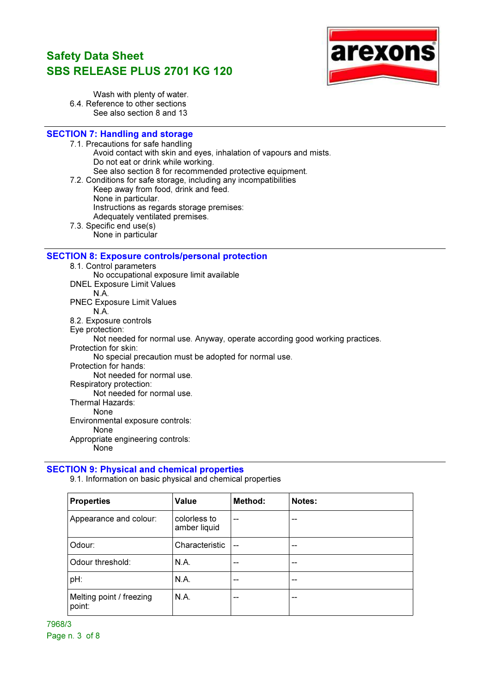

Wash with plenty of water. 6.4. Reference to other sections See also section 8 and 13

### SECTION 7: Handling and storage

7.1. Precautions for safe handling

Avoid contact with skin and eyes, inhalation of vapours and mists. Do not eat or drink while working.

- See also section 8 for recommended protective equipment.
- 7.2. Conditions for safe storage, including any incompatibilities Keep away from food, drink and feed. None in particular. Instructions as regards storage premises: Adequately ventilated premises. 7.3. Specific end use(s)
	- None in particular

#### SECTION 8: Exposure controls/personal protection

8.1. Control parameters No occupational exposure limit available DNEL Exposure Limit Values N.A. PNEC Exposure Limit Values N.A. 8.2. Exposure controls Eye protection: Not needed for normal use. Anyway, operate according good working practices. Protection for skin: No special precaution must be adopted for normal use. Protection for hands: Not needed for normal use. Respiratory protection: Not needed for normal use. Thermal Hazards: None Environmental exposure controls: None Appropriate engineering controls: **None** 

#### SECTION 9: Physical and chemical properties

9.1. Information on basic physical and chemical properties

| <b>Properties</b>                  | Value                        | Method:                  | Notes: |
|------------------------------------|------------------------------|--------------------------|--------|
| Appearance and colour:             | colorless to<br>amber liquid | $-$                      |        |
| Odour:                             | Characteristic               | $\overline{\phantom{a}}$ |        |
| Odour threshold:                   | N.A.                         | --                       | --     |
| pH:                                | N.A.                         | --                       | --     |
| Melting point / freezing<br>point: | N.A.                         | --                       | --     |

7968/3 Page n. 3 of 8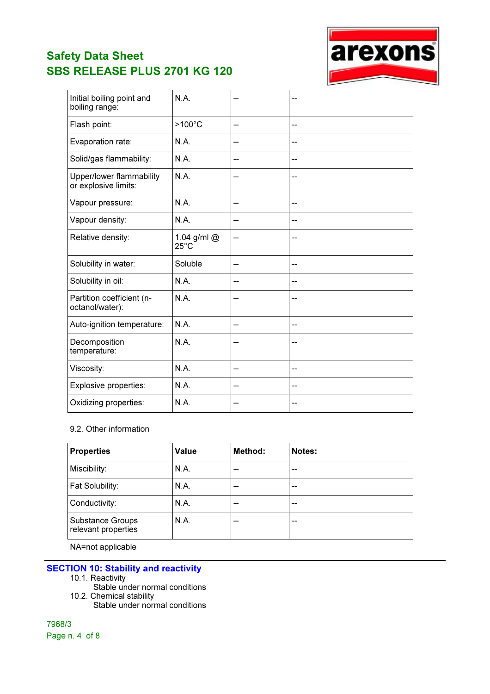

| Initial boiling point and<br>boiling range:      | N.A.                          |    | --                       |
|--------------------------------------------------|-------------------------------|----|--------------------------|
| Flash point:                                     | $>100^{\circ}$ C              | -- | --                       |
| Evaporation rate:                                | N.A.                          | -- | --                       |
| Solid/gas flammability:                          | N.A.                          | -- | --                       |
| Upper/lower flammability<br>or explosive limits: | N.A.                          | -- | --                       |
| Vapour pressure:                                 | N.A.                          | -- | ۵.                       |
| Vapour density:                                  | N.A.                          | -- | --                       |
| Relative density:                                | 1.04 g/ml @<br>$25^{\circ}$ C | -- |                          |
| Solubility in water:                             | Soluble                       | -- | --                       |
| Solubility in oil:                               | N.A.                          | ۳. | --                       |
| Partition coefficient (n-<br>octanol/water):     | N.A.                          | -- | --                       |
| Auto-ignition temperature:                       | N.A.                          | -- | --                       |
| Decomposition<br>temperature:                    | N.A.                          | -- | --                       |
| Viscosity:                                       | N.A.                          | -- | --                       |
| Explosive properties:                            | N.A.                          | -- | --                       |
| Oxidizing properties:                            | N.A.                          | -- | $\overline{\phantom{a}}$ |

### 9.2. Other information

| <b>Properties</b>                       | Value | Method: | Notes: |
|-----------------------------------------|-------|---------|--------|
| Miscibility:                            | N.A.  | --      | --     |
| Fat Solubility:                         | N.A.  | --      | --     |
| Conductivity:                           | N.A.  | --      | --     |
| Substance Groups<br>relevant properties | N.A.  | --      | --     |

NA=not applicable

# **SECTION 10: Stability and reactivity**

- 10.1. Reactivity
	- Stable under normal conditions
- 10.2. Chemical stability Stable under normal conditions

7968/3 Page n. 4 of 8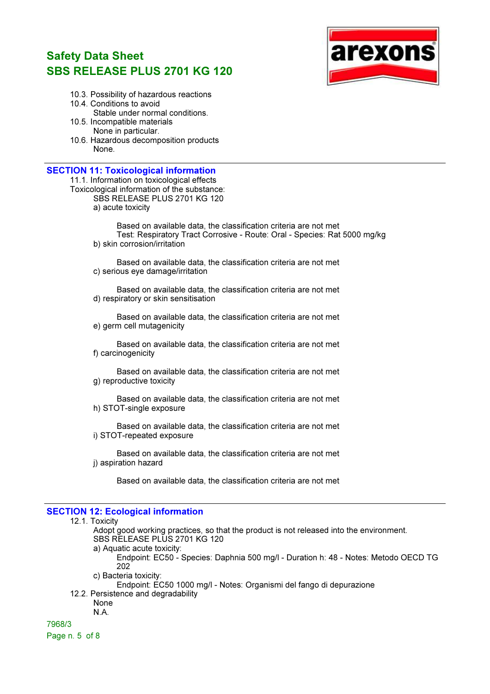

- 10.3. Possibility of hazardous reactions
- 10.4. Conditions to avoid Stable under normal conditions. 10.5. Incompatible materials
	- None in particular.
- 10.6. Hazardous decomposition products None.

#### SECTION 11: Toxicological information

11.1. Information on toxicological effects Toxicological information of the substance: SBS RELEASE PLUS 2701 KG 120

a) acute toxicity

Based on available data, the classification criteria are not met Test: Respiratory Tract Corrosive - Route: Oral - Species: Rat 5000 mg/kg b) skin corrosion/irritation

Based on available data, the classification criteria are not met c) serious eye damage/irritation

Based on available data, the classification criteria are not met d) respiratory or skin sensitisation

Based on available data, the classification criteria are not met e) germ cell mutagenicity

Based on available data, the classification criteria are not met f) carcinogenicity

Based on available data, the classification criteria are not met g) reproductive toxicity

Based on available data, the classification criteria are not met h) STOT-single exposure

Based on available data, the classification criteria are not met i) STOT-repeated exposure

Based on available data, the classification criteria are not met j) aspiration hazard

Based on available data, the classification criteria are not met

### SECTION 12: Ecological information

### 12.1. Toxicity

Adopt good working practices, so that the product is not released into the environment. SBS RELEASE PLUS 2701 KG 120

a) Aquatic acute toxicity:

Endpoint: EC50 - Species: Daphnia 500 mg/l - Duration h: 48 - Notes: Metodo OECD TG 202

c) Bacteria toxicity:

Endpoint: EC50 1000 mg/l - Notes: Organismi del fango di depurazione

12.2. Persistence and degradability

None N.A.

7968/3 Page n. 5 of 8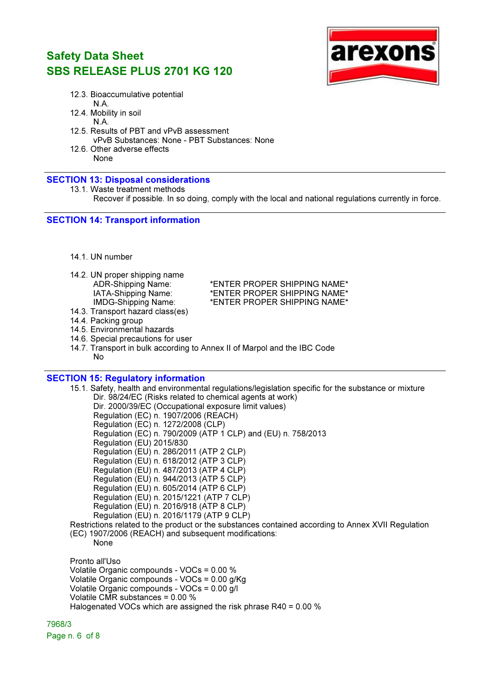

12.3. Bioaccumulative potential N.A.

12.4. Mobility in soil

- N.A.
- 12.5. Results of PBT and vPvB assessment vPvB Substances: None - PBT Substances: None
- 12.6. Other adverse effects None

#### SECTION 13: Disposal considerations

```
13.1. Waste treatment methods
```
Recover if possible. In so doing, comply with the local and national regulations currently in force.

### SECTION 14: Transport information

- 14.1. UN number
- 14.2. UN proper shipping name

ADR-Shipping Name: \* \* \* \* ENTER PROPER SHIPPING NAME\* IATA-Shipping Name: \*ENTER PROPER SHIPPING NAME\* \*ENTER PROPER SHIPPING NAME\*

- 14.3. Transport hazard class(es)
- 14.4. Packing group
- 14.5. Environmental hazards
- 14.6. Special precautions for user
- 14.7. Transport in bulk according to Annex II of Marpol and the IBC Code No

#### SECTION 15: Regulatory information

15.1. Safety, health and environmental regulations/legislation specific for the substance or mixture Dir. 98/24/EC (Risks related to chemical agents at work) Dir. 2000/39/EC (Occupational exposure limit values) Regulation (EC) n. 1907/2006 (REACH) Regulation (EC) n. 1272/2008 (CLP) Regulation (EC) n. 790/2009 (ATP 1 CLP) and (EU) n. 758/2013 Regulation (EU) 2015/830 Regulation (EU) n. 286/2011 (ATP 2 CLP) Regulation (EU) n. 618/2012 (ATP 3 CLP) Regulation (EU) n. 487/2013 (ATP 4 CLP) Regulation (EU) n. 944/2013 (ATP 5 CLP) Regulation (EU) n. 605/2014 (ATP 6 CLP) Regulation (EU) n. 2015/1221 (ATP 7 CLP) Regulation (EU) n. 2016/918 (ATP 8 CLP) Regulation (EU) n. 2016/1179 (ATP 9 CLP) Restrictions related to the product or the substances contained according to Annex XVII Regulation (EC) 1907/2006 (REACH) and subsequent modifications: None Pronto all'Uso Volatile Organic compounds - VOCs = 0.00 % Volatile Organic compounds - VOCs = 0.00 g/Kg Volatile Organic compounds - VOCs = 0.00 g/l Volatile CMR substances = 0.00 % Halogenated VOCs which are assigned the risk phrase R40 = 0.00 %

7968/3

Page n. 6 of 8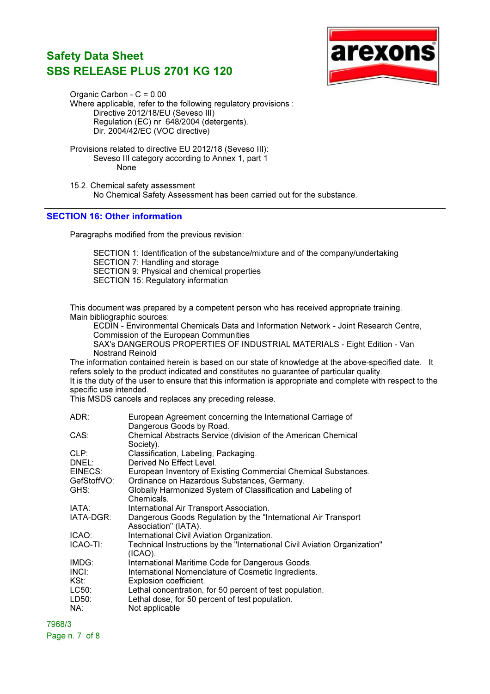

Organic Carbon - C = 0.00 Where applicable, refer to the following regulatory provisions : Directive 2012/18/EU (Seveso III) Regulation (EC) nr 648/2004 (detergents). Dir. 2004/42/EC (VOC directive)

Provisions related to directive EU 2012/18 (Seveso III): Seveso III category according to Annex 1, part 1 None

15.2. Chemical safety assessment No Chemical Safety Assessment has been carried out for the substance.

### SECTION 16: Other information

Paragraphs modified from the previous revision:

SECTION 1: Identification of the substance/mixture and of the company/undertaking SECTION 7: Handling and storage SECTION 9: Physical and chemical properties SECTION 15: Regulatory information

This document was prepared by a competent person who has received appropriate training. Main bibliographic sources:

ECDIN - Environmental Chemicals Data and Information Network - Joint Research Centre, Commission of the European Communities SAX's DANGEROUS PROPERTIES OF INDUSTRIAL MATERIALS - Eight Edition - Van Nostrand Reinold

The information contained herein is based on our state of knowledge at the above-specified date. It refers solely to the product indicated and constitutes no guarantee of particular quality.

It is the duty of the user to ensure that this information is appropriate and complete with respect to the specific use intended.

This MSDS cancels and replaces any preceding release.

| ADR:                   | European Agreement concerning the International Carriage of<br>Dangerous Goods by Road.                       |
|------------------------|---------------------------------------------------------------------------------------------------------------|
| CAS:                   | Chemical Abstracts Service (division of the American Chemical<br>Society).                                    |
| CLP:                   | Classification, Labeling, Packaging.                                                                          |
| DNEL:                  | Derived No Effect Level.                                                                                      |
| EINECS:<br>GefStoffVO: | European Inventory of Existing Commercial Chemical Substances.<br>Ordinance on Hazardous Substances, Germany. |
| GHS:                   | Globally Harmonized System of Classification and Labeling of<br>Chemicals.                                    |
| IATA:                  | International Air Transport Association.                                                                      |
| IATA-DGR:              | Dangerous Goods Regulation by the "International Air Transport"<br>Association" (IATA).                       |
| ICAO:                  | International Civil Aviation Organization.                                                                    |
| ICAO-TI:               | Technical Instructions by the "International Civil Aviation Organization"<br>$(ICAO)$ .                       |
| IMDG:                  | International Maritime Code for Dangerous Goods.                                                              |
| INCI:                  | International Nomenclature of Cosmetic Ingredients.                                                           |
| KSt:                   | Explosion coefficient.                                                                                        |
| LC50:                  | Lethal concentration, for 50 percent of test population.                                                      |
| LD50:                  | Lethal dose, for 50 percent of test population.                                                               |
| NA:                    | Not applicable                                                                                                |
|                        |                                                                                                               |

7968/3

Page n. 7 of 8